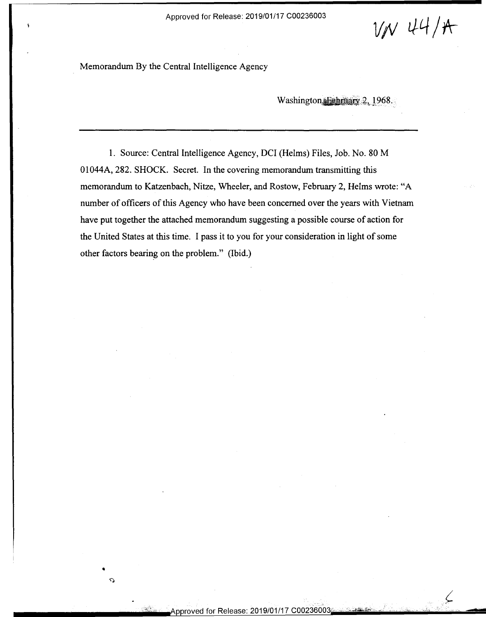Approved for Release: 2019/01/17 C00236003 Approved for Release: 2019/01/17 <sup>000236003</sup>

 $V/V$  44/A

-

Memorandum By the Central Intelligence Agency Memorandum By the Central Intelligence Agency

•

 $\Omega$ 

Washington, February 2, 1968.

1. Source: Central Intelligence Agency, DCI (Helms) Files, Job. No. 80 M 1. Source: Central Intelligence Agency, DCI (Helms) Files, Job. No. 80 M 01044A, 282. SHOCK. Secret. In the covering memorandum transmitting this 01044A, 282. SHOCK. Secret. In the covering memorandum transmitting this memorandum to Katzenbach, Nitze, Wheeler, and Rostow, February 2, Helms wrote: "A number of officers of this Agency who have been concerned over the years with Vietnam number of officers of this Agency who have been concerned over the years with Vietnam have put together the attached memorandum suggesting a possible course of action for have put together the attached memorandum suggesting <sup>a</sup> possible course of action for the United States at this time. I pass it to you for your consideration in light of some the United States at this time. I pass it to you for your consideration in light of some other factors bearing on the problem." (Ibid.) other factors bearing on the problem." (Ibid.)

;,{·.- · · Approved for Release: 2019/01/17 C00236003c ... ::,.~~•,\_,/ • - .. <,, • - I'ppro'ved for Release: <sup>201</sup> 9/01/1 <sup>7</sup> coozseoosmaae .-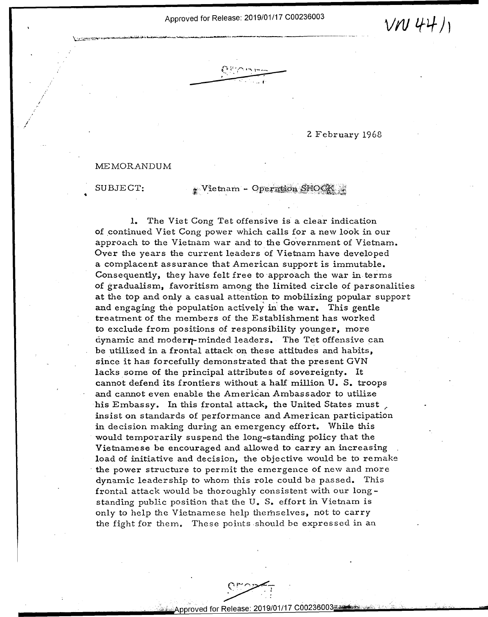'L':L}'-l "LA'I\_IPML.Z' - un' Lfl-h. <sup>L</sup> -"" "'"" Hm \_.. .

1

Approved for Release: 2019/01/17 C00236003  $V$ V 44)

==

## 2 February 1968 2 February 1968

## MEMORANDUM ME MORANDUM

SUBJECT:

5'43..." ..... <sup>u</sup> <sup>F</sup>

'

/ ,

## $\bullet$  Vietnam - Operation SHOCK

1. The Viet Cong Tet offensive is a clear indication l. The Viet Cong Tet offensive is. <sup>a</sup> clear indication of continued Viet Cong power which calls for a new look in our approach to the Vietnam war and to the Government of Vietnam. Over the years the current leaders of Vietnam have developed a complacent assurance that American support is immutable. <sup>a</sup> complacent assurance that American support is immutable. Consequently, they have felt free to approach the war in terms of gradualism, favoritism among the limited circle of personalities at the top and only a casual attention to mobilizing popular support at the top and only <sup>a</sup> casual attention to mobilizing p0pular support and engaging the population actively in the war. This gentle treatment of the members of the Establishment has worked to exclude from positions of responsibility younger, more to exclude from positions of responsibility younger, more  $d$ ynamic and moder $\eta$ -minded leaders. The Tet offensive can be utilized in a frontal attack on these attitudes and habits, be utilized in <sup>a</sup> frontal attack on these attitudes and habits, since it has forcefully demonstrated that the present GVN since it has forcefully demonstrated that the present GVN lacks some of the principal attributes of sovereignty. It cannot defend its frontiers without a half million U. S. troops cannot defend its frontiers without <sup>a</sup> half million U. S. tr00ps and cannot even enable the American Ambassador to utilize and cannot even enable the Am erican Ambassador to utilize his Embassy. In this frontal attack, the United States must , insist on standards of performance and American participation insist on standards of performance and American participation in decision making during an emergency effort. While this in decision making during an emergency effort. While this would temporarily suspend the long-standing policy that the would temporarily suspend the long—standing policy that the Vietnamese be encouraged and allowed to carry an increasing Vietnamese be encouraged and allowed to carry an increasing load of initiative and decision, the objective would be *to* remake load of initiative and decision, the objective would be to remake the power structure to permit the emergence of new and more dynamic leadership to whom this role could be passed. This frontal attack would be thoroughly consistent with our long-frontal attack would be thoroughly consistent with our long standing public position that the U. S. effort in Vietnam is only to help the Vietnamese help themselves, not to carry the fight for them. These points should be expressed in an

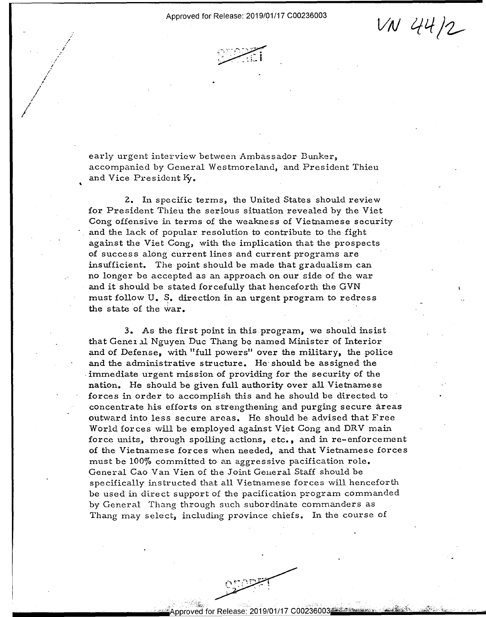$VVN$  44/2

early urgent interview between Ambassador Bunker, early urgent interview between Ambassador Bunker, accompanied by General Westmoreland, and President Thieu accompanied by General Westmoreland, and President Thieu and Vice President  $\mathbf{K}_{\bm{y}}$ .

*I* 

/ *I* , // *I* 

*I* 

 $\cdot$ ,.' /

'

'

2. In specific terms, the United States should review \_ Z. In specific terms, the United States should review for President Thieu the serious situation revealed by the Viet for PreSident Thieu the serious situation revealed by the Viet Cong offensive in terms of the weakness of Vietnamese security Cong offensive in terms of the weakness of Vietnamese security and the lack of popular resolution to contribute to the fight against the Viet Cong, with the implication that the prospects against the Viet Cong, with the implication that the prospects of success along current lines and current programs are  $\hskip1cm$ insufficient. The point should be made that gradualism can insufficient. The point should be made that gradualism can no longer be accepted as an approach on our side of the war no longer be accepted as an approach on our side of the war and it should be stated forcefully that henceforth the GVN  $\sim$  ${\rm mult}\ {\rm follow}\ {\tt U.}\ \S$ . direction in an urgent program to redress  $\mathbf{h}$  the state of the war.

3. As the first point in this program, we should insist that General Nguyen Duc Thang be named Minister of Interior and of Defense, with "full powers" over the military, the police and of Defense, with "full powers" over the military, the police and the administrative structure. He· should be assigned the and the administrative structure. He'should be assigned the . immediate urgent mission of providing for the security of the immediate urgent mission of providing for the security of the nation. He should be given full authority over all Vietnamese nation. He should be given full authority over all Vietnamese forces in order to accomplish this and he should be directed to concentrate his efforts on strengthening and purging secure areas concentrate his efforts on strengthening and purging secure areas outward into less secure areas. He should be advised that Free World forces will be employed against Viet Cong and DRV main World forces will be employed against Viet Gong and DRV main force units, through spoiling actions, etc., and in re-enforcement of the Vietnamese forces when needed, and that Vietnamese forces of the Vietnamese forces when needed, and that Vietnamese forces must be 100% committed to an aggressive pacification role. must be 100% committed to an aggressive pacification role. General Cao Van Vien of the Joint General Staff should be specifically instructed that all Vietnamese forces will henceforth specifically instructed that all Vietnamese forces will henceforth be used in direct support of the pacification program commanded be used in direct support of the pacification program commanded by General Thang through such subordinate commanders as by General Thang through such subordinate commanders as Thang may select, including province chiefs. In the course of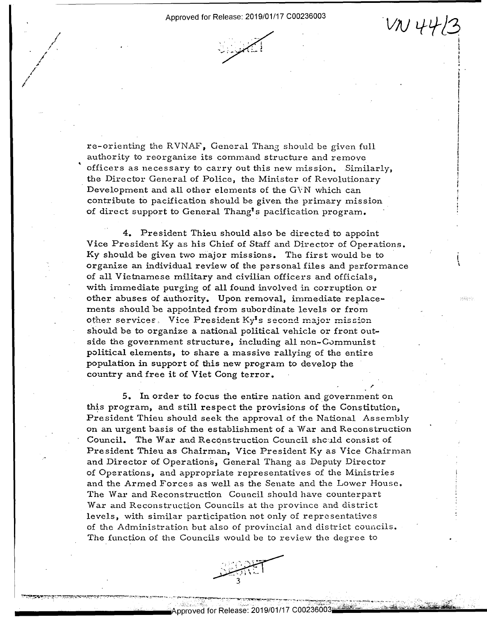

*I I*  ' *L I* 

/ *I e* ,,

*I*  /

'

re-orienting the RVNAF, General Thang should be given full authority to reorganize its command structure and remove authority to reorganize its command structure and remove officers as necessary to carry out this new mission. Similarly, officers as necessary to carry out this new miSSion. Similarly, the Director General of Police, the Minister of Revolutionary<br>Development and all other elements of the GVN which can<br>contribute to pacification should be given the primary mission<br>of direct support to General Thang's paci Development and all other elements of the GVN which can  $\hbox{contribute to pacification should be given the primary mission}$ of direct support to General Thang's pacification program.

4. President Thieu should also be directed to appoint 4. President Thieu should also be directed to appoint Vice President Ky as his Chief of Staff and Director of Operations. Vice President Ky as his Chief of Staff and Director of Operations. Ky should be given two major missions. The first would be to  $\overline{1}$ organize an individual review of the personal files and performance organize an individual review of the personal files and performance of all Vietnamese military and civilian officers and officials, with immediate purging of all found involved in corruption or with immediate purging of all found involved in corruption or other abuses of authority. Upon removal, immediate replacements should be appointed from subordinate levels or from ments should be appointed from subordinate levels or from other services, Vice President Ky<sup>1</sup>s second major mission should be to organize a national political vehicle or front outside the government structure, including all non-Communist political elements, to share a massive rallying of the entire political elements, to share <sup>a</sup> massive rallying of the entire population in support of this new program to develop the pepulation in support of this new prOgram to deve10p the country and free it of Viet Cong terror.

5. In order to focus the entire nation and government on 5. In order to focus the entire nation and'government on this program, and still respect the provisions of the Constitution, this program, and still respect the provisions ofthe Constitution, President Thieu should seek the approval of the National Assembly President Thieu should seek the approval of the National Assembly on an urgent basis of the establishment of a War and Reconstruction  $\qquad$ Council. The War and Recqnstruction Council shc:.1ld consist of Council. The War and Reconstruction Council should consist of President Thieu as Chairman, Vice President Ky as Vice Chairman and Director of Operations, General Thang as Deputy Director and Director of Operations, General Thang as Deputy Director of Operations, and appropriate representatives of the Ministries of Operations, and appropriate representatives ofthe Ministries and the Armed Forces as well as the Senate and the Lower House. and the Armed Forces as well as the Senate and the Lower House. The War and Reconstruction Council should have counterpart The War and Reconstruction Council should have counterpart War and Reconstruction Councils at the province and district levels, with similar participation not only of representatives levels, with similar participation not only of representatives of the Administration but also of provincial and district councils. of the Administration but also of provincial and district councils. - The function of the Councils would be to review the degree to The function of the Councils would be to review the degree to General Thang should be given full<br>a command structure and renove<br>carry out this new mission, Similarly,<br>close, the Minister of Revolutionary<br>relevants of the GVN which can<br>bould be given the primary relission<br>and Thang's

*r* 

I

'1'm ': "my-0.1 \_\_...---I . ' ' -' . \_. '-'4.. --. - - -.».'--'%- P- " \_ ' ". \ -- '- .;2'--..a '.".-;-.".-'- - W". -.-.. «M. . arm-av:- -~-r« «ifM" - -. <sup>a</sup> - . -'

(  $\mathbf \cdot$  $\ddot{\phantom{0}}$ 

..............

-'--s;-:'.\_ - -' - "



firm 1970 - respectively. A second complete the control of the control of the control of the control of the control of the control of the control of the control of the control of the control of the control of the control o

 $\alpha$  -  $\beta$  ,  $\gamma$  ,  $\gamma$  ,  $\gamma$  ,  $\gamma$  ,  $\gamma$  ,  $\gamma$  ,  $\gamma$  ,  $\gamma$  ,  $\gamma$  ,  $\gamma$  ,  $\gamma$  ,  $\gamma$  ,  $\gamma$  ,  $\gamma$  ,  $\gamma$  ,  $\gamma$  ,  $\gamma$  ,  $\gamma$  ,  $\gamma$  ,  $\gamma$  ,  $\gamma$  ,  $\gamma$  ,  $\gamma$  ,  $\gamma$  ,  $\gamma$  ,  $\gamma$  ,  $\gamma$  ,  $\gamma$  ,  $\gamma$  ,  $\gamma$ 

 $\mathcal{P}^{\text{max}}$  ,  $\mathcal{P}^{\text{max}}$  ,  $\mathcal{P}^{\text{max}}$  ,  $\mathcal{P}^{\text{max}}$  ,  $\mathcal{P}^{\text{max}}$  ,  $\mathcal{P}^{\text{max}}$  ,  $\mathcal{P}^{\text{max}}$  ,  $\mathcal{P}^{\text{max}}$  ,  $\mathcal{P}^{\text{max}}$  ,  $\mathcal{P}^{\text{max}}$  ,  $\mathcal{P}^{\text{max}}$  ,  $\mathcal{P}^{\text{max}}$  ,  $\mathcal{P}^{\text{max}}$  ,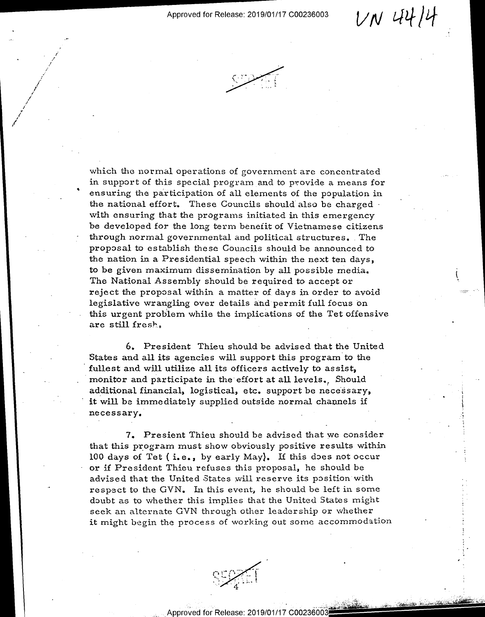$VN$  44/4

.f u v'lw'r—a'



*,l I* 

—'

,/ / *I i* 

*i*  / /

'

'

"

which the normal operations of government are concentrated which the normal operations of government are concentrated in support of this special program and to ptovide a means for in support of this special programand to provide <sup>a</sup> means for ensuring the participation of all elements of the population in the national effort. These Councils should also be charged with ensuring that the programs initiated in this emergency be developed for the long term benefit of Vietnamese citizens through normal governmental and political structures. The through normal governmental and political structures. . The proposal to establish these Councils should be announced to the nation in a Presidential speech within the next ten days, to be given maximum dissemination by all possible media.  $\qquad \qquad i$ The National Assembly should be required to accept or  $\mathcal{L}$ reject the proposal within a matter of days in order to avoid legislative wrangling over details and permit full focus on legislative wrangling over details and'permit full focus "on this urgent problem while the implications of the Tet offensive are still fresh.

6. President Thieu should be advised that the United 6. President Thieu should be advised that the United States and all its agencies will support this program· to the States and all its agencies will support this program'to the fullest and will utilize all its officers actively to assist, fullest and will utilize all its officers actively to assist,  $\text{monitor} \text{ and } \text{particle} \text{ in the effort at all levels.} \text{ \textit{Should}}$ additional financial, logistical, etc. support be necessary, and the second contract of the second contract of it will be immediately supplied outside normal channels if necessary, which is a set of  $\mathcal{L}$  is a set of  $\mathcal{L}$  is a set of  $\mathcal{L}$  is a set of  $\mathcal{L}$ 

7. Presient Thieu should be advised that we consider 7. Presient Thieu should be advised that we consider that this program must show obviously positive results within 100 days of Tet (i.e., by early May). If this does not occur or if President Thieu refuses this proposal, he should be or if President Thieu refuses this preposal, he should be advised that the United States will reserve its position with respect to the GVN. In this event, he should be left in some doubt as to whether this implies that the United States might doubt as to whether this implies that the United States might seek an alternate GVN through other leadership or whether seek an alternate GVN through other leadership or whether it might begin the process of working out some accommodation

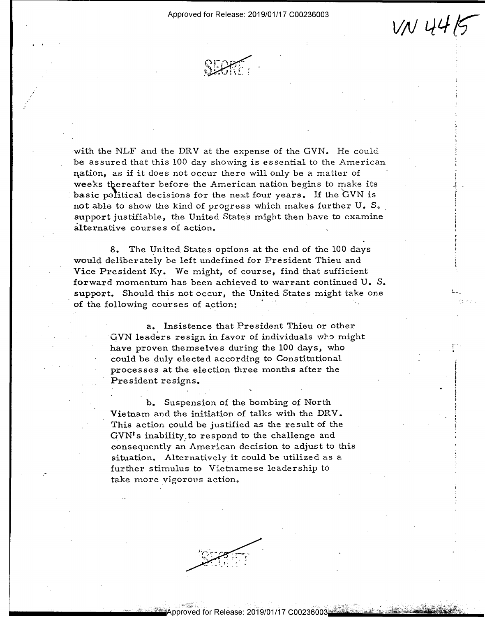Approved for Release: 2019/01/17 C00236003 Approved for Release: 2019/01/17 000236003

 $V_N$  44/5

r-·· . .

 $\mathbf{I}$ l  $\frac{1}{1}$ iEy ... l



with the NLF and the DRV at the expense of the GVN. He could be assured that this 100 day showing is essential to the American be assured that this 100 day showing is essential to the American  $\mathbf n$ ation, as if it does not occur there will only be a matter of weeks thereafter before the American nation begins to make its basic political decisions for the next four years. If the  $\rm GVN$  is not able to show the kind of progress which makes further U. S.  $\,$ support justifiable, the United States might then have to examine alternative courses of action. alternative courses of action. '

8. The United States options at the end of the 100 days 8. The United States Options at the end of the 100 days would deliberately be left undefined for President Thieu and would deliberately be left undefined for President Thieu and Vice President Ky. We might, of course, find that sufficient forward momentum has been achieved to warrant continued U. S. forward momentum hasbeen achieved to warrant continued U. 8. support. Should this not occur, the United States might take one of the following courses of action:

> a. Insistence that President Thieu or other a. Insistence that President Thieu orother  $\rm GVN$  leaders resign in favor of individuals who might have proven themselves during the 100 days, who have proven themselves during the 100 days, who could be duly elected according to Constitutional could be duly elected according to Constitutional  ${\tt processes}$  at the election three months after the President resigns. President resigns. ' '

b. Suspension of the bombing of North b. Suspension of the bombing of North Vietnam and the initiation of talks with the DRY. Vietnam and the initiation of talks with the DRV. This action could be justified as the result of the This action could be justified as the result of the  $\text{GVN}^\intercal\text{s}$  inability<sub>s</sub> to respond to the challenge and consequently an American decision to adjust to this consequently an American decision to adjust to this situation. Alternatively it could be utilized as a further stimulus to Vietnamese leadership to further stimulus to Vietnamese leadership totake more vigorous action. take more vigorous action.

Release: 2019/01/17 C00236003≝

 $\sim$  exus . T ... J:~.\_u\_ .\_ .. . \_ \_

 $\alpha$   $\sim$   $\alpha$ r'". . " -r -..n "51': ;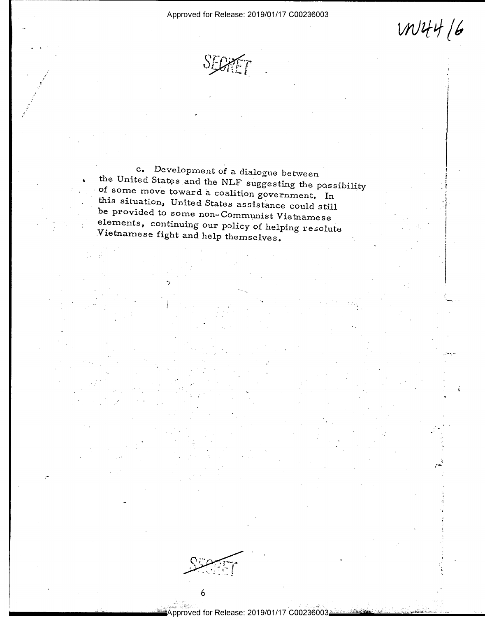Approved for Release: 2019/01/17 C00236003

 $W44/6$ 

SEGRET

c. Development of a dialogue between the United States and the NLF suggesting the possibility of some move toward a coalition government. In this situation, United States assistance could still be provided to some non-Communist Vietnamese elements, continuing our policy of helping resolute Vietnamese fight and help themselves.